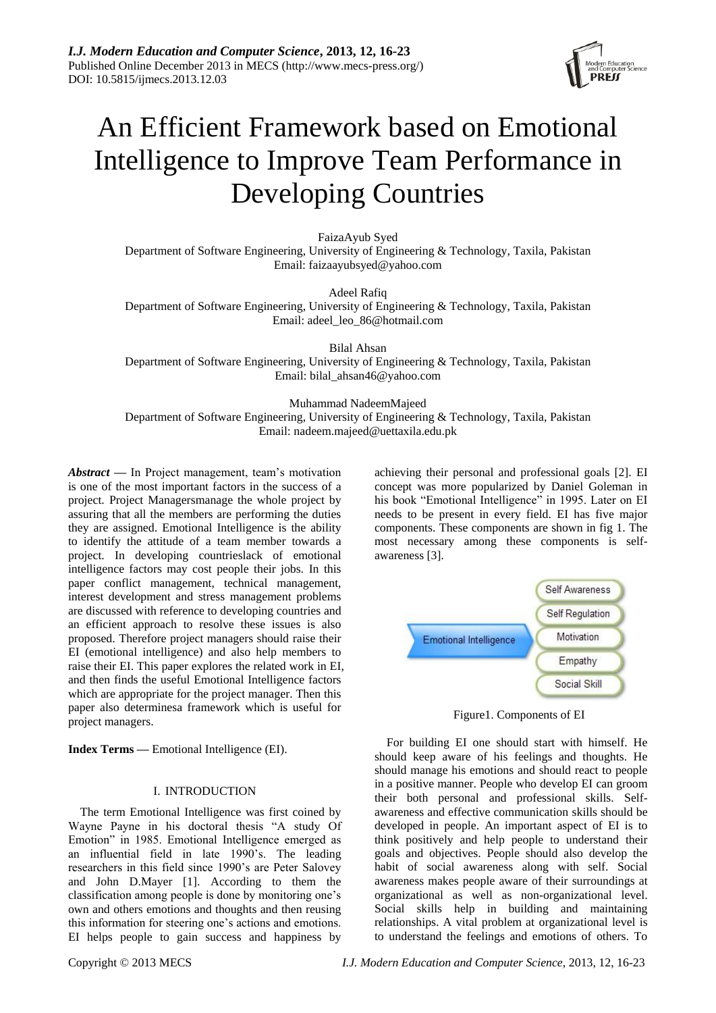

# An Efficient Framework based on Emotional Intelligence to Improve Team Performance in Developing Countries

FaizaAyub Syed Department of Software Engineering, University of Engineering & Technology, Taxila, Pakistan Email: faizaayubsyed@yahoo.com

Adeel Rafiq Department of Software Engineering, University of Engineering & Technology, Taxila, Pakistan Email: adeel\_leo\_86@hotmail.com

Bilal Ahsan Department of Software Engineering, University of Engineering & Technology, Taxila, Pakistan Email: bilal\_ahsan46@yahoo.com

Muhammad NadeemMajeed Department of Software Engineering, University of Engineering & Technology, Taxila, Pakistan Email: nadeem.majeed@uettaxila.edu.pk

*Abstract* **—** In Project management, team's motivation is one of the most important factors in the success of a project. Project Managersmanage the whole project by assuring that all the members are performing the duties they are assigned. Emotional Intelligence is the ability to identify the attitude of a team member towards a project. In developing countrieslack of emotional intelligence factors may cost people their jobs. In this paper conflict management, technical management, interest development and stress management problems are discussed with reference to developing countries and an efficient approach to resolve these issues is also proposed. Therefore project managers should raise their EI (emotional intelligence) and also help members to raise their EI. This paper explores the related work in EI, and then finds the useful Emotional Intelligence factors which are appropriate for the project manager. Then this paper also determinesa framework which is useful for project managers.

**Index Terms —** Emotional Intelligence (EI).

#### I. INTRODUCTION

The term Emotional Intelligence was first coined by Wayne Payne in his doctoral thesis "A study Of Emotion" in 1985. Emotional Intelligence emerged as an influential field in late 1990's. The leading researchers in this field since 1990's are Peter Salovey and John D.Mayer [1]. According to them the classification among people is done by monitoring one's own and others emotions and thoughts and then reusing this information for steering one's actions and emotions. EI helps people to gain success and happiness by achieving their personal and professional goals [2]. EI concept was more popularized by Daniel Goleman in his book "Emotional Intelligence" in 1995. Later on EI needs to be present in every field. EI has five major components. These components are shown in fig 1. The most necessary among these components is selfawareness [3].



Figure1. Components of EI

For building EI one should start with himself. He should keep aware of his feelings and thoughts. He should manage his emotions and should react to people in a positive manner. People who develop EI can groom their both personal and professional skills. Selfawareness and effective communication skills should be developed in people. An important aspect of EI is to think positively and help people to understand their goals and objectives. People should also develop the habit of social awareness along with self. Social awareness makes people aware of their surroundings at organizational as well as non-organizational level. Social skills help in building and maintaining relationships. A vital problem at organizational level is to understand the feelings and emotions of others. To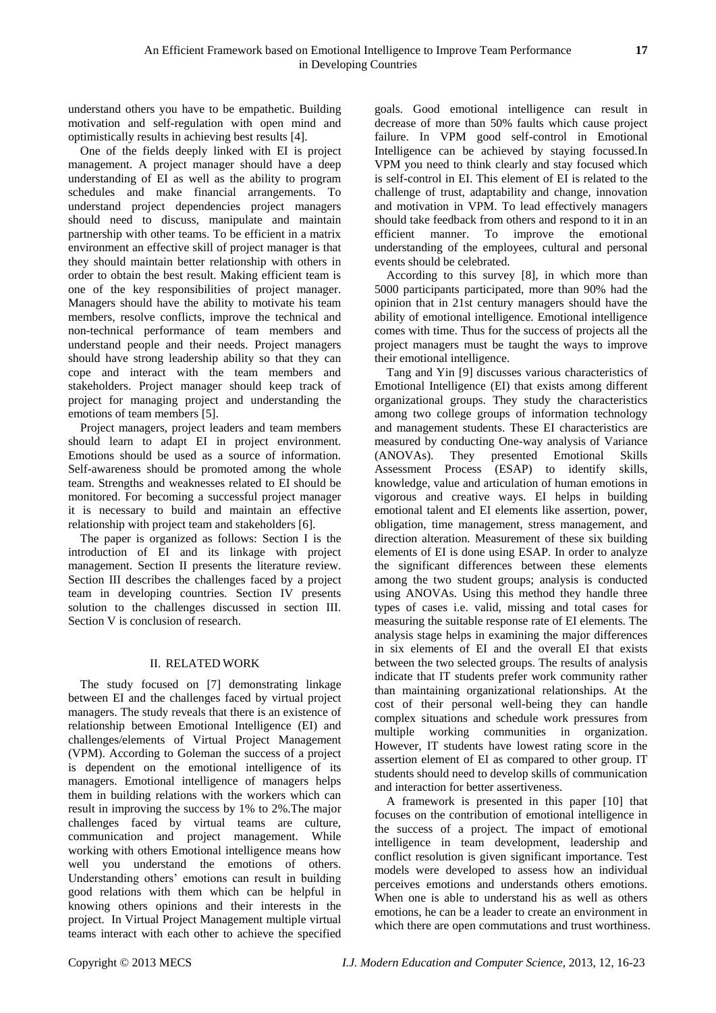understand others you have to be empathetic. Building motivation and self-regulation with open mind and optimistically results in achieving best results [4].

One of the fields deeply linked with EI is project management. A project manager should have a deep understanding of EI as well as the ability to program schedules and make financial arrangements. To understand project dependencies project managers should need to discuss, manipulate and maintain partnership with other teams. To be efficient in a matrix environment an effective skill of project manager is that they should maintain better relationship with others in order to obtain the best result. Making efficient team is one of the key responsibilities of project manager. Managers should have the ability to motivate his team members, resolve conflicts, improve the technical and non-technical performance of team members and understand people and their needs. Project managers should have strong leadership ability so that they can cope and interact with the team members and stakeholders. Project manager should keep track of project for managing project and understanding the emotions of team members [5].

Project managers, project leaders and team members should learn to adapt EI in project environment. Emotions should be used as a source of information. Self-awareness should be promoted among the whole team. Strengths and weaknesses related to EI should be monitored. For becoming a successful project manager it is necessary to build and maintain an effective relationship with project team and stakeholders [6].

The paper is organized as follows: Section I is the introduction of EI and its linkage with project management. Section II presents the literature review. Section III describes the challenges faced by a project team in developing countries. Section IV presents solution to the challenges discussed in section III. Section V is conclusion of research.

## II. RELATED WORK

The study focused on [7] demonstrating linkage between EI and the challenges faced by virtual project managers. The study reveals that there is an existence of relationship between Emotional Intelligence (EI) and challenges/elements of Virtual Project Management (VPM). According to Goleman the success of a project is dependent on the emotional intelligence of its managers. Emotional intelligence of managers helps them in building relations with the workers which can result in improving the success by 1% to 2%.The major challenges faced by virtual teams are culture, communication and project management. While working with others Emotional intelligence means how well you understand the emotions of others. Understanding others' emotions can result in building good relations with them which can be helpful in knowing others opinions and their interests in the project. In Virtual Project Management multiple virtual teams interact with each other to achieve the specified

goals. Good emotional intelligence can result in decrease of more than 50% faults which cause project failure. In VPM good self-control in Emotional Intelligence can be achieved by staying focussed.In VPM you need to think clearly and stay focused which is self-control in EI. This element of EI is related to the challenge of trust, adaptability and change, innovation and motivation in VPM. To lead effectively managers should take feedback from others and respond to it in an efficient manner. To improve the emotional understanding of the employees, cultural and personal events should be celebrated.

According to this survey [8], in which more than 5000 participants participated, more than 90% had the opinion that in 21st century managers should have the ability of emotional intelligence. Emotional intelligence comes with time. Thus for the success of projects all the project managers must be taught the ways to improve their emotional intelligence.

Tang and Yin [9] discusses various characteristics of Emotional Intelligence (EI) that exists among different organizational groups. They study the characteristics among two college groups of information technology and management students. These EI characteristics are measured by conducting One-way analysis of Variance (ANOVAs). They presented Emotional Skills Assessment Process (ESAP) to identify skills, knowledge, value and articulation of human emotions in vigorous and creative ways. EI helps in building emotional talent and EI elements like assertion, power, obligation, time management, stress management, and direction alteration. Measurement of these six building elements of EI is done using ESAP. In order to analyze the significant differences between these elements among the two student groups; analysis is conducted using ANOVAs. Using this method they handle three types of cases i.e. valid, missing and total cases for measuring the suitable response rate of EI elements. The analysis stage helps in examining the major differences in six elements of EI and the overall EI that exists between the two selected groups. The results of analysis indicate that IT students prefer work community rather than maintaining organizational relationships. At the cost of their personal well-being they can handle complex situations and schedule work pressures from multiple working communities in organization. However, IT students have lowest rating score in the assertion element of EI as compared to other group. IT students should need to develop skills of communication and interaction for better assertiveness.

A framework is presented in this paper [10] that focuses on the contribution of emotional intelligence in the success of a project. The impact of emotional intelligence in team development, leadership and conflict resolution is given significant importance. Test models were developed to assess how an individual perceives emotions and understands others emotions. When one is able to understand his as well as others emotions, he can be a leader to create an environment in which there are open commutations and trust worthiness.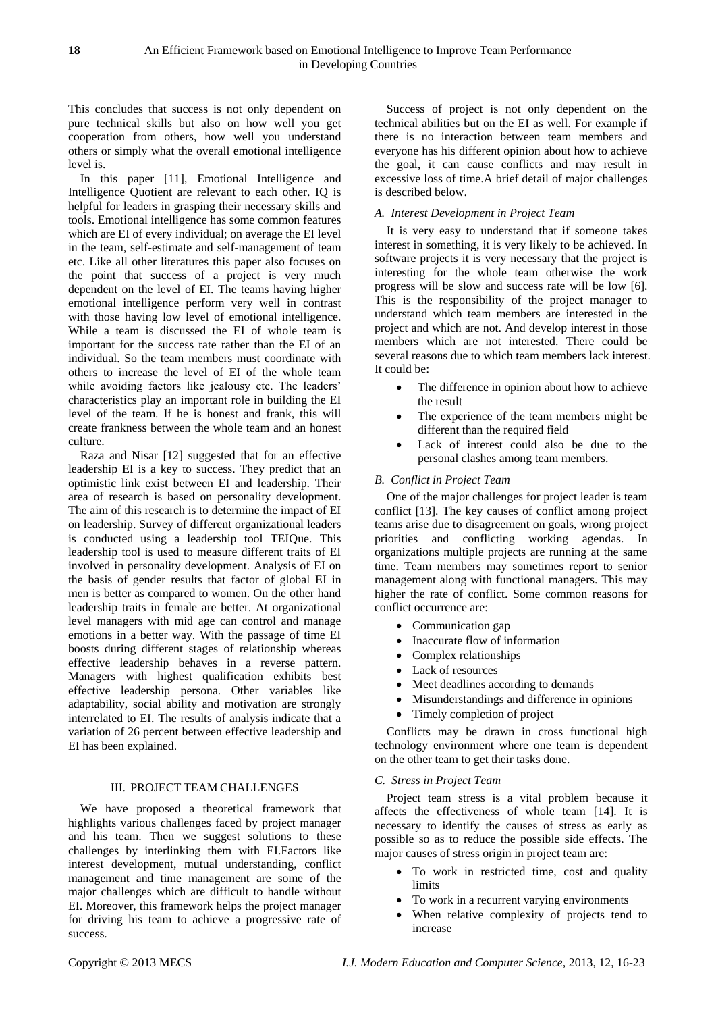This concludes that success is not only dependent on pure technical skills but also on how well you get cooperation from others, how well you understand others or simply what the overall emotional intelligence level is.

In this paper [11], Emotional Intelligence and Intelligence Quotient are relevant to each other. IQ is helpful for leaders in grasping their necessary skills and tools. Emotional intelligence has some common features which are EI of every individual; on average the EI level in the team, self-estimate and self-management of team etc. Like all other literatures this paper also focuses on the point that success of a project is very much dependent on the level of EI. The teams having higher emotional intelligence perform very well in contrast with those having low level of emotional intelligence. While a team is discussed the EI of whole team is important for the success rate rather than the EI of an individual. So the team members must coordinate with others to increase the level of EI of the whole team while avoiding factors like jealousy etc. The leaders' characteristics play an important role in building the EI level of the team. If he is honest and frank, this will create frankness between the whole team and an honest culture.

Raza and Nisar [12] suggested that for an effective leadership EI is a key to success. They predict that an optimistic link exist between EI and leadership. Their area of research is based on personality development. The aim of this research is to determine the impact of EI on leadership. Survey of different organizational leaders is conducted using a leadership tool TEIQue. This leadership tool is used to measure different traits of EI involved in personality development. Analysis of EI on the basis of gender results that factor of global EI in men is better as compared to women. On the other hand leadership traits in female are better. At organizational level managers with mid age can control and manage emotions in a better way. With the passage of time EI boosts during different stages of relationship whereas effective leadership behaves in a reverse pattern. Managers with highest qualification exhibits best effective leadership persona. Other variables like adaptability, social ability and motivation are strongly interrelated to EI. The results of analysis indicate that a variation of 26 percent between effective leadership and EI has been explained.

# III. PROJECT TEAM CHALLENGES

We have proposed a theoretical framework that highlights various challenges faced by project manager and his team. Then we suggest solutions to these challenges by interlinking them with EI.Factors like interest development, mutual understanding, conflict management and time management are some of the major challenges which are difficult to handle without EI. Moreover, this framework helps the project manager for driving his team to achieve a progressive rate of success.

Success of project is not only dependent on the technical abilities but on the EI as well. For example if there is no interaction between team members and everyone has his different opinion about how to achieve the goal, it can cause conflicts and may result in excessive loss of time.A brief detail of major challenges is described below.

## *A. Interest Development in Project Team*

It is very easy to understand that if someone takes interest in something, it is very likely to be achieved. In software projects it is very necessary that the project is interesting for the whole team otherwise the work progress will be slow and success rate will be low [6]. This is the responsibility of the project manager to understand which team members are interested in the project and which are not. And develop interest in those members which are not interested. There could be several reasons due to which team members lack interest. It could be:

- The difference in opinion about how to achieve the result
- The experience of the team members might be different than the required field
- Lack of interest could also be due to the personal clashes among team members.

## *B. Conflict in Project Team*

One of the major challenges for project leader is team conflict [13]. The key causes of conflict among project teams arise due to disagreement on goals, wrong project priorities and conflicting working agendas. In organizations multiple projects are running at the same time. Team members may sometimes report to senior management along with functional managers. This may higher the rate of conflict. Some common reasons for conflict occurrence are:

- Communication gap
- Inaccurate flow of information
- Complex relationships
- Lack of resources
- Meet deadlines according to demands
- Misunderstandings and difference in opinions
- Timely completion of project

Conflicts may be drawn in cross functional high technology environment where one team is dependent on the other team to get their tasks done.

#### *C. Stress in Project Team*

Project team stress is a vital problem because it affects the effectiveness of whole team [14]. It is necessary to identify the causes of stress as early as possible so as to reduce the possible side effects. The major causes of stress origin in project team are:

- To work in restricted time, cost and quality limits
- To work in a recurrent varying environments
- When relative complexity of projects tend to increase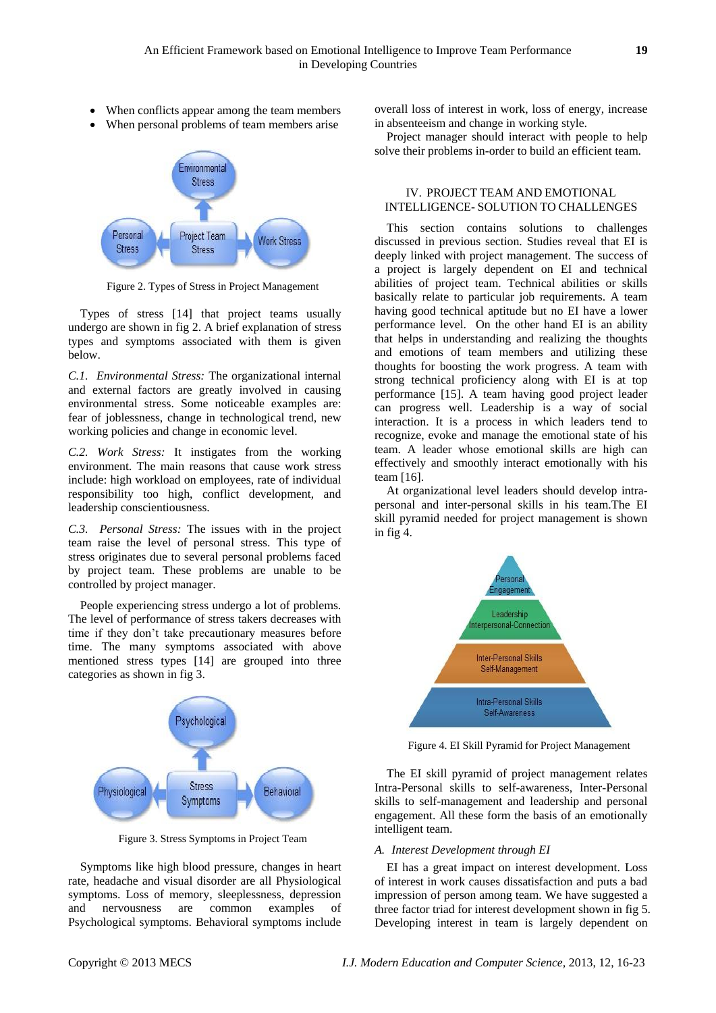- When conflicts appear among the team members
- When personal problems of team members arise



Figure 2. Types of Stress in Project Management

Types of stress [14] that project teams usually undergo are shown in fig 2. A brief explanation of stress types and symptoms associated with them is given below.

*C.1. Environmental Stress:* The organizational internal and external factors are greatly involved in causing environmental stress. Some noticeable examples are: fear of joblessness, change in technological trend, new working policies and change in economic level.

*C.2. Work Stress:* It instigates from the working environment. The main reasons that cause work stress include: high workload on employees, rate of individual responsibility too high, conflict development, and leadership conscientiousness.

*C.3. Personal Stress:* The issues with in the project team raise the level of personal stress. This type of stress originates due to several personal problems faced by project team. These problems are unable to be controlled by project manager.

People experiencing stress undergo a lot of problems. The level of performance of stress takers decreases with time if they don't take precautionary measures before time. The many symptoms associated with above mentioned stress types [14] are grouped into three categories as shown in fig 3.



Figure 3. Stress Symptoms in Project Team

Symptoms like high blood pressure, changes in heart rate, headache and visual disorder are all Physiological symptoms. Loss of memory, sleeplessness, depression and nervousness are common examples of Psychological symptoms. Behavioral symptoms include overall loss of interest in work, loss of energy, increase in absenteeism and change in working style.

Project manager should interact with people to help solve their problems in-order to build an efficient team.

## IV. PROJECT TEAM AND EMOTIONAL INTELLIGENCE- SOLUTION TO CHALLENGES

This section contains solutions to challenges discussed in previous section. Studies reveal that EI is deeply linked with project management. The success of a project is largely dependent on EI and technical abilities of project team. Technical abilities or skills basically relate to particular job requirements. A team having good technical aptitude but no EI have a lower performance level. On the other hand EI is an ability that helps in understanding and realizing the thoughts and emotions of team members and utilizing these thoughts for boosting the work progress. A team with strong technical proficiency along with EI is at top performance [15]. A team having good project leader can progress well. Leadership is a way of social interaction. It is a process in which leaders tend to recognize, evoke and manage the emotional state of his team. A leader whose emotional skills are high can effectively and smoothly interact emotionally with his team [16].

At organizational level leaders should develop intrapersonal and inter-personal skills in his team.The EI skill pyramid needed for project management is shown in fig 4.



Figure 4. EI Skill Pyramid for Project Management

The EI skill pyramid of project management relates Intra-Personal skills to self-awareness, Inter-Personal skills to self-management and leadership and personal engagement. All these form the basis of an emotionally intelligent team.

#### *A. Interest Development through EI*

EI has a great impact on interest development. Loss of interest in work causes dissatisfaction and puts a bad impression of person among team. We have suggested a three factor triad for interest development shown in fig 5. Developing interest in team is largely dependent on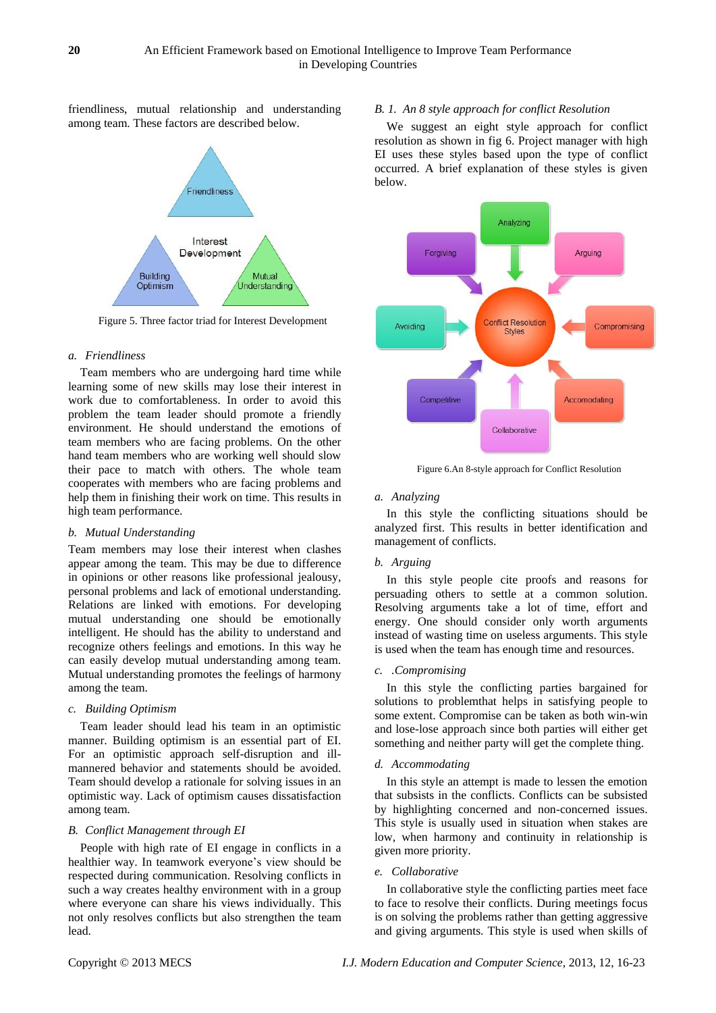friendliness, mutual relationship and understanding among team. These factors are described below.



Figure 5. Three factor triad for Interest Development

#### *a. Friendliness*

Team members who are undergoing hard time while learning some of new skills may lose their interest in work due to comfortableness. In order to avoid this problem the team leader should promote a friendly environment. He should understand the emotions of team members who are facing problems. On the other hand team members who are working well should slow their pace to match with others. The whole team cooperates with members who are facing problems and help them in finishing their work on time. This results in high team performance.

#### *b. Mutual Understanding*

Team members may lose their interest when clashes appear among the team. This may be due to difference in opinions or other reasons like professional jealousy, personal problems and lack of emotional understanding. Relations are linked with emotions. For developing mutual understanding one should be emotionally intelligent. He should has the ability to understand and recognize others feelings and emotions. In this way he can easily develop mutual understanding among team. Mutual understanding promotes the feelings of harmony among the team.

#### *c. Building Optimism*

Team leader should lead his team in an optimistic manner. Building optimism is an essential part of EI. For an optimistic approach self-disruption and illmannered behavior and statements should be avoided. Team should develop a rationale for solving issues in an optimistic way. Lack of optimism causes dissatisfaction among team.

#### *B. Conflict Management through EI*

People with high rate of EI engage in conflicts in a healthier way. In teamwork everyone's view should be respected during communication. Resolving conflicts in such a way creates healthy environment with in a group where everyone can share his views individually. This not only resolves conflicts but also strengthen the team lead.

#### *B. 1. An 8 style approach for conflict Resolution*

We suggest an eight style approach for conflict resolution as shown in fig 6. Project manager with high EI uses these styles based upon the type of conflict occurred. A brief explanation of these styles is given below.



Figure 6.An 8-style approach for Conflict Resolution

#### *a. Analyzing*

In this style the conflicting situations should be analyzed first. This results in better identification and management of conflicts.

#### *b. Arguing*

In this style people cite proofs and reasons for persuading others to settle at a common solution. Resolving arguments take a lot of time, effort and energy. One should consider only worth arguments instead of wasting time on useless arguments. This style is used when the team has enough time and resources.

#### *c. .Compromising*

In this style the conflicting parties bargained for solutions to problemthat helps in satisfying people to some extent. Compromise can be taken as both win-win and lose-lose approach since both parties will either get something and neither party will get the complete thing.

#### *d. Accommodating*

In this style an attempt is made to lessen the emotion that subsists in the conflicts. Conflicts can be subsisted by highlighting concerned and non-concerned issues. This style is usually used in situation when stakes are low, when harmony and continuity in relationship is given more priority.

#### *e. Collaborative*

In collaborative style the conflicting parties meet face to face to resolve their conflicts. During meetings focus is on solving the problems rather than getting aggressive and giving arguments. This style is used when skills of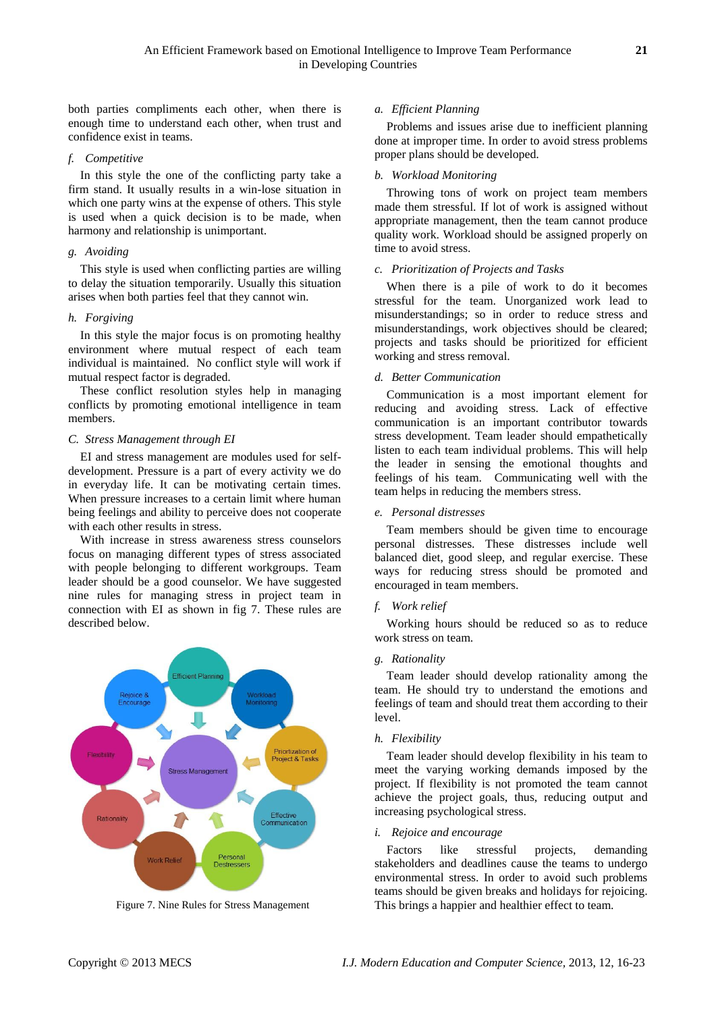both parties compliments each other, when there is enough time to understand each other, when trust and confidence exist in teams.

## *f. Competitive*

In this style the one of the conflicting party take a firm stand. It usually results in a win-lose situation in which one party wins at the expense of others. This style is used when a quick decision is to be made, when harmony and relationship is unimportant.

## *g. Avoiding*

This style is used when conflicting parties are willing to delay the situation temporarily. Usually this situation arises when both parties feel that they cannot win.

# *h. Forgiving*

In this style the major focus is on promoting healthy environment where mutual respect of each team individual is maintained. No conflict style will work if mutual respect factor is degraded.

These conflict resolution styles help in managing conflicts by promoting emotional intelligence in team members.

# *C. Stress Management through EI*

EI and stress management are modules used for selfdevelopment. Pressure is a part of every activity we do in everyday life. It can be motivating certain times. When pressure increases to a certain limit where human being feelings and ability to perceive does not cooperate with each other results in stress.

With increase in stress awareness stress counselors focus on managing different types of stress associated with people belonging to different workgroups. Team leader should be a good counselor. We have suggested nine rules for managing stress in project team in connection with EI as shown in fig 7. These rules are described below.



Figure 7. Nine Rules for Stress Management

## *a. Efficient Planning*

Problems and issues arise due to inefficient planning done at improper time. In order to avoid stress problems proper plans should be developed.

## *b. Workload Monitoring*

Throwing tons of work on project team members made them stressful. If lot of work is assigned without appropriate management, then the team cannot produce quality work. Workload should be assigned properly on time to avoid stress.

## *c. Prioritization of Projects and Tasks*

When there is a pile of work to do it becomes stressful for the team. Unorganized work lead to misunderstandings; so in order to reduce stress and misunderstandings, work objectives should be cleared; projects and tasks should be prioritized for efficient working and stress removal.

#### *d. Better Communication*

Communication is a most important element for reducing and avoiding stress. Lack of effective communication is an important contributor towards stress development. Team leader should empathetically listen to each team individual problems. This will help the leader in sensing the emotional thoughts and feelings of his team. Communicating well with the team helps in reducing the members stress.

#### *e. Personal distresses*

Team members should be given time to encourage personal distresses. These distresses include well balanced diet, good sleep, and regular exercise. These ways for reducing stress should be promoted and encouraged in team members.

# *f. Work relief*

Working hours should be reduced so as to reduce work stress on team.

# *g. Rationality*

Team leader should develop rationality among the team. He should try to understand the emotions and feelings of team and should treat them according to their level.

#### *h. Flexibility*

Team leader should develop flexibility in his team to meet the varying working demands imposed by the project. If flexibility is not promoted the team cannot achieve the project goals, thus, reducing output and increasing psychological stress.

#### *i. Rejoice and encourage*

Factors like stressful projects, demanding stakeholders and deadlines cause the teams to undergo environmental stress. In order to avoid such problems teams should be given breaks and holidays for rejoicing. This brings a happier and healthier effect to team.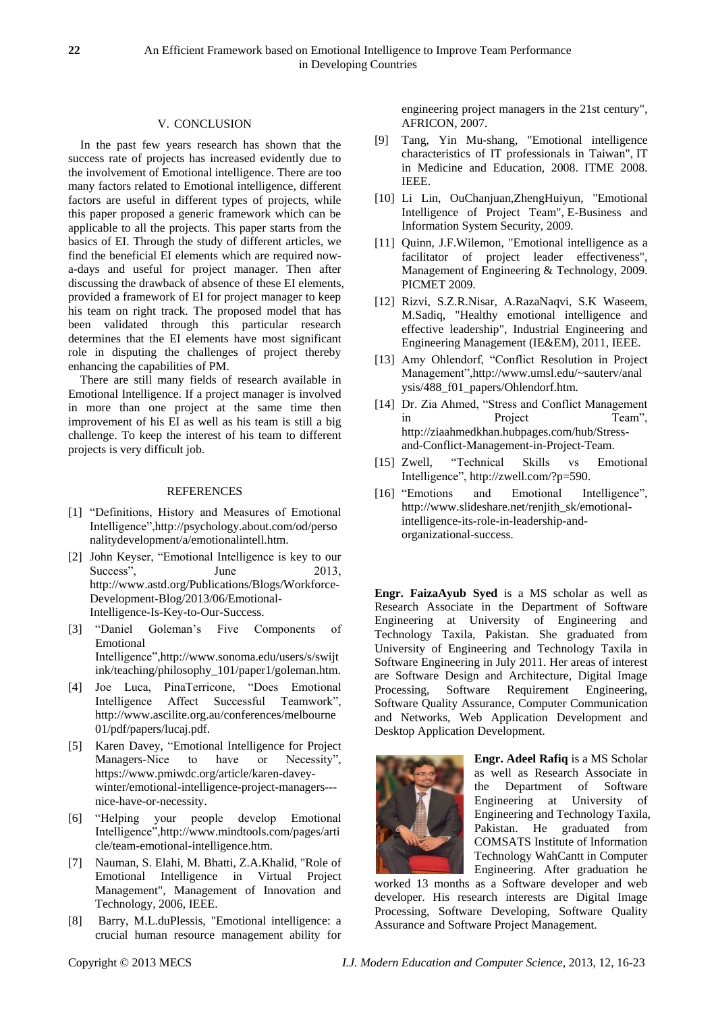#### V. CONCLUSION

In the past few years research has shown that the success rate of projects has increased evidently due to the involvement of Emotional intelligence. There are too many factors related to Emotional intelligence, different factors are useful in different types of projects, while this paper proposed a generic framework which can be applicable to all the projects. This paper starts from the basics of EI. Through the study of different articles, we find the beneficial EI elements which are required nowa-days and useful for project manager. Then after discussing the drawback of absence of these EI elements, provided a framework of EI for project manager to keep his team on right track. The proposed model that has been validated through this particular research determines that the EI elements have most significant role in disputing the challenges of project thereby enhancing the capabilities of PM.

There are still many fields of research available in Emotional Intelligence. If a project manager is involved in more than one project at the same time then improvement of his EI as well as his team is still a big challenge. To keep the interest of his team to different projects is very difficult job.

#### REFERENCES

- [1] "Definitions, History and Measures of Emotional Intelligence"[,http://psychology.about.com/od/perso](http://psychology.about.com/od/personalitydevelopment/a/emotionalintell.htm) [nalitydevelopment/a/emotionalintell.htm.](http://psychology.about.com/od/personalitydevelopment/a/emotionalintell.htm)
- [2] John Keyser, "Emotional Intelligence is key to our Success", June 2013, [http://www.astd.org/Publications/Blogs/Workforce-](http://www.astd.org/Publications/Blogs/Workforce-Development-Blog/2013/06/Emotional-Intelligence-Is-Key-to-Our-Success)[Development-Blog/2013/06/Emotional-](http://www.astd.org/Publications/Blogs/Workforce-Development-Blog/2013/06/Emotional-Intelligence-Is-Key-to-Our-Success)[Intelligence-Is-Key-to-Our-Success.](http://www.astd.org/Publications/Blogs/Workforce-Development-Blog/2013/06/Emotional-Intelligence-Is-Key-to-Our-Success)
- [3] "Daniel Goleman's Five Components of Emotional Intelligence"[,http://www.sonoma.edu/users/s/swijt](http://www.sonoma.edu/users/s/swijtink/teaching/philosophy_101/paper1/goleman.htm) [ink/teaching/philosophy\\_101/paper1/goleman.htm.](http://www.sonoma.edu/users/s/swijtink/teaching/philosophy_101/paper1/goleman.htm)
- [4] Joe Luca, PinaTerricone, "Does Emotional Intelligence Affect Successful Teamwork", [http://www.ascilite.org.au/conferences/melbourne](http://www.ascilite.org.au/conferences/melbourne01/pdf/papers/lucaj.pdf) [01/pdf/papers/lucaj.pdf.](http://www.ascilite.org.au/conferences/melbourne01/pdf/papers/lucaj.pdf)
- [5] Karen Davey, "Emotional Intelligence for Project Managers-Nice to have or Necessity", [https://www.pmiwdc.org/article/karen-davey](https://www.pmiwdc.org/article/karen-davey-winter/emotional-intelligence-project-managers---nice-have-or-necessity)[winter/emotional-intelligence-project-managers--](https://www.pmiwdc.org/article/karen-davey-winter/emotional-intelligence-project-managers---nice-have-or-necessity) [nice-have-or-necessity.](https://www.pmiwdc.org/article/karen-davey-winter/emotional-intelligence-project-managers---nice-have-or-necessity)
- [6] "Helping your people develop Emotional Intelligence"[,http://www.mindtools.com/pages/arti](http://www.mindtools.com/pages/article/team-emotional-intelligence.htm) [cle/team-emotional-intelligence.htm.](http://www.mindtools.com/pages/article/team-emotional-intelligence.htm)
- [7] Nauman, S. Elahi, M. Bhatti, Z.A.Khalid, "Role of Emotional Intelligence in Virtual Project Management", Management of Innovation and Technology, 2006, IEEE.
- [8] Barry, M.L.duPlessis, "Emotional intelligence: a crucial human resource management ability for

engineering project managers in the 21st century", AFRICON, 2007.

- [9] Tang, Yin Mu-shang, "Emotional intelligence characteristics of IT professionals in Taiwan", IT in Medicine and Education, 2008. ITME 2008. IEEE.
- [10] Li Lin, OuChanjuan,ZhengHuiyun, "Emotional Intelligence of Project Team", E-Business and Information System Security, 2009.
- [11] Quinn, J.F.Wilemon, "Emotional intelligence as a facilitator of project leader effectiveness", Management of Engineering & Technology, 2009. PICMET 2009.
- [12] Rizvi, S.Z.R.Nisar, A.RazaNaqvi, S.K Waseem, M.Sadiq, "Healthy emotional intelligence and effective leadership", Industrial Engineering and Engineering Management (IE&EM), 2011, IEEE.
- [13] Amy Ohlendorf, "Conflict Resolution in Project Management",http://www.umsl.edu/~sauterv/anal ysis/488\_f01\_papers/Ohlendorf.htm.
- [14] Dr. Zia Ahmed, "Stress and Conflict Management in Project Team", [http://ziaahmedkhan.hubpages.com/hub/Stress](http://ziaahmedkhan.hubpages.com/hub/Stress-and-Conflict-Management-in-Project-Team)[and-Conflict-Management-in-Project-Team.](http://ziaahmedkhan.hubpages.com/hub/Stress-and-Conflict-Management-in-Project-Team)
- [15] Zwell, "Technical Skills vs Emotional Intelligence"[, http://zwell.com/?p=590.](http://zwell.com/?p=590)
- [16] "Emotions and Emotional Intelligence", http://www.slideshare.net/renjith\_sk/emotionalintelligence-its-role-in-leadership-andorganizational-success.

**Engr. FaizaAyub Syed** is a MS scholar as well as Research Associate in the Department of Software Engineering at University of Engineering and Technology Taxila, Pakistan. She graduated from University of Engineering and Technology Taxila in Software Engineering in July 2011. Her areas of interest are Software Design and Architecture, Digital Image Processing, Software Requirement Engineering, Software Quality Assurance, Computer Communication and Networks, Web Application Development and Desktop Application Development.



**Engr. Adeel Rafiq** is a MS Scholar as well as Research Associate in the Department of Software Engineering at University of Engineering and Technology Taxila, Pakistan. He graduated from COMSATS Institute of Information Technology WahCantt in Computer Engineering. After graduation he

worked 13 months as a Software developer and web developer. His research interests are Digital Image Processing, Software Developing, Software Quality Assurance and Software Project Management.